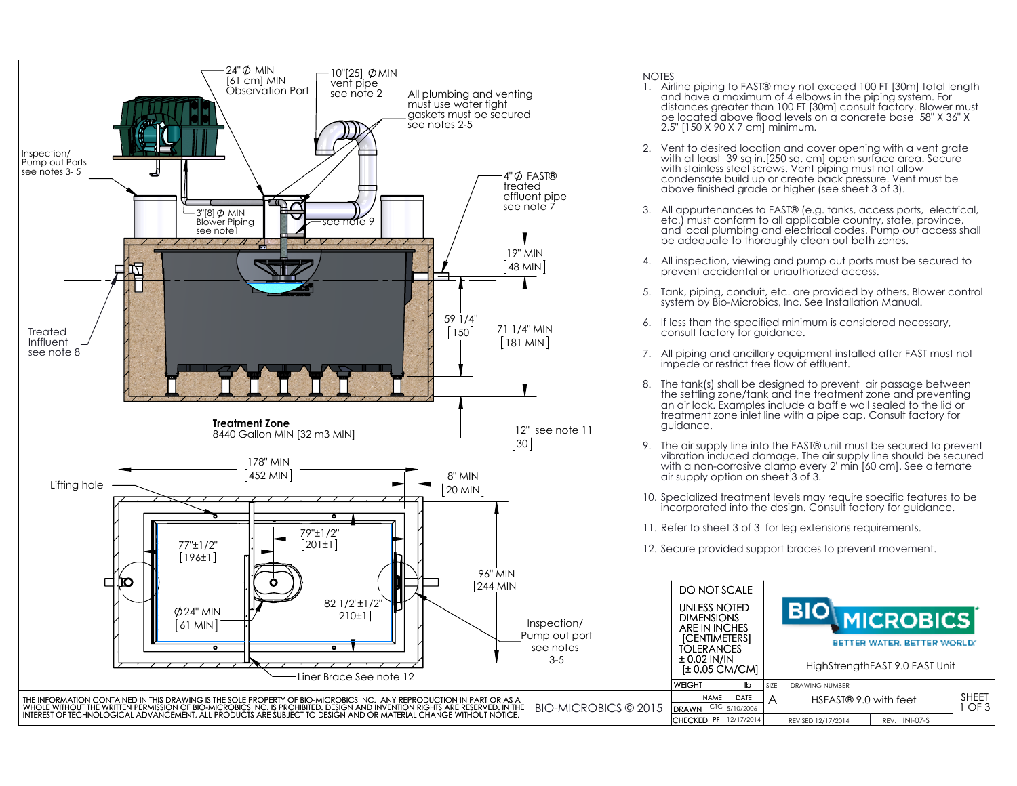

- 1. Airline piping to FAST® may not exceed 100 FT [30m] total length and have a maximum of 4 elbows in the piping system. For distances greater than 100 FT [30m] consult factory. Blower must be located above flood levels on a concrete base 58" X 36" X 2.5" [150 X 90 X 7 cm] minimum.
- 2. Vent to desired location and cover opening with a vent grate with at least 39 sq in.[250 sq. cm] open surface area. Secure with stainless steel screws. Vent piping must not allow condensate build up or create back pressure. Vent must be above finished grade or higher (see sheet 3 of 3).
- 3. All appurtenances to FAST® (e.g. tanks, access ports, electrical, etc.) must conform to all applicable country, state, province, and local plumbing and electrical codes. Pump out access shall be adequate to thoroughly clean out both zones.
- 4. All inspection, viewing and pump out ports must be secured to prevent accidental or unauthorized access.
- 5. Tank, piping, conduit, etc. are provided by others. Blower control system by Bio-Microbics, Inc. See Installation Manual.
- 6. If less than the specified minimum is considered necessary, consult factory for guidance.
- 7. All piping and ancillary equipment installed after FAST must not impede or restrict free flow of effluent.
- 8. The tank(s) shall be designed to prevent air passage between the settling zone/tank and the treatment zone and preventing an air lock. Examples include a baffle wall sealed to the lid or treatment zone inlet line with a pipe cap. Consult factory for guidance.
- 9. The air supply line into the FAST® unit must be secured to prevent vibration induced damage. The air supply line should be secured with a non-corrosive clamp every 2' min [60 cm]. See alternate air supply option on sheet 3 of 3.
- 10. Specialized treatment levels may require specific features to be incorporated into the design. Consult factory for guidance.
- 11. Refer to sheet 3 of 3 for leg extensions requirements.
- 12. Secure provided support braces to prevent movement.

| ്ത<br>96" MIN                                                                                                                                                                                                                  |                                                                                                                                          |      |                                                                                   |               |                 |  |
|--------------------------------------------------------------------------------------------------------------------------------------------------------------------------------------------------------------------------------|------------------------------------------------------------------------------------------------------------------------------------------|------|-----------------------------------------------------------------------------------|---------------|-----------------|--|
| О<br>$[244$ MIN]                                                                                                                                                                                                               | DO NOT SCALE                                                                                                                             |      |                                                                                   |               |                 |  |
| ₩₩<br>82 1/2"±1/2"<br>$\varphi$ 24" MIN<br>[210±1]<br>Inspection/<br>  61 MIN  <br>Pump out port<br>see notes<br>$\bullet$<br>$\bullet$<br>$3 - 5$<br>Liner Brace See note 12                                                  | UNLESS NOTED<br><b>DIMENSIONS</b><br>ARE IN INCHES<br><b>ICENTIMETERSI</b><br><b>TOLERANCES</b><br>$\pm$ 0.02 IN/IN<br>$\pm 0.05$ CM/CM] |      | <b>MICROBICS</b><br>BETTER WATER, BETTER WORLD.<br>HighStrengthFAST 9.0 FAST Unit |               |                 |  |
|                                                                                                                                                                                                                                | <b>WEIGHT</b><br>ľb                                                                                                                      | SIZE | <b>DRAWING NUMBER</b>                                                             |               |                 |  |
| TAINED IN THIS DRAWING IS THE SOLE PROPERTY OF BIO-MICROBICS INC. ANY REPRODUCTION IN PART OR AS A                                                                                                                             | DATE<br><b>NAME</b>                                                                                                                      |      | HSFAST® 9.0 with feet                                                             |               | <b>SHEET</b>    |  |
| BIO-MICROBICS © 2015<br>itten permission of bio-microbics inc. Is prohibited. Design and invention rights are reserved. In the<br>GICAL ADVANCEMENT, ALL PRODUCTS ARE SUBJECT TO DESIGN AND OR MATERIAL CHANGE WITHOUT NOTICE. | $CTC$ 5/10/2006<br><b>DRAWN</b>                                                                                                          |      |                                                                                   |               | OF <sub>3</sub> |  |
|                                                                                                                                                                                                                                | CHECKED PF   12/17/2014                                                                                                                  |      | REVISED 12/17/2014                                                                | REV. INI-07-S |                 |  |
|                                                                                                                                                                                                                                |                                                                                                                                          |      |                                                                                   |               |                 |  |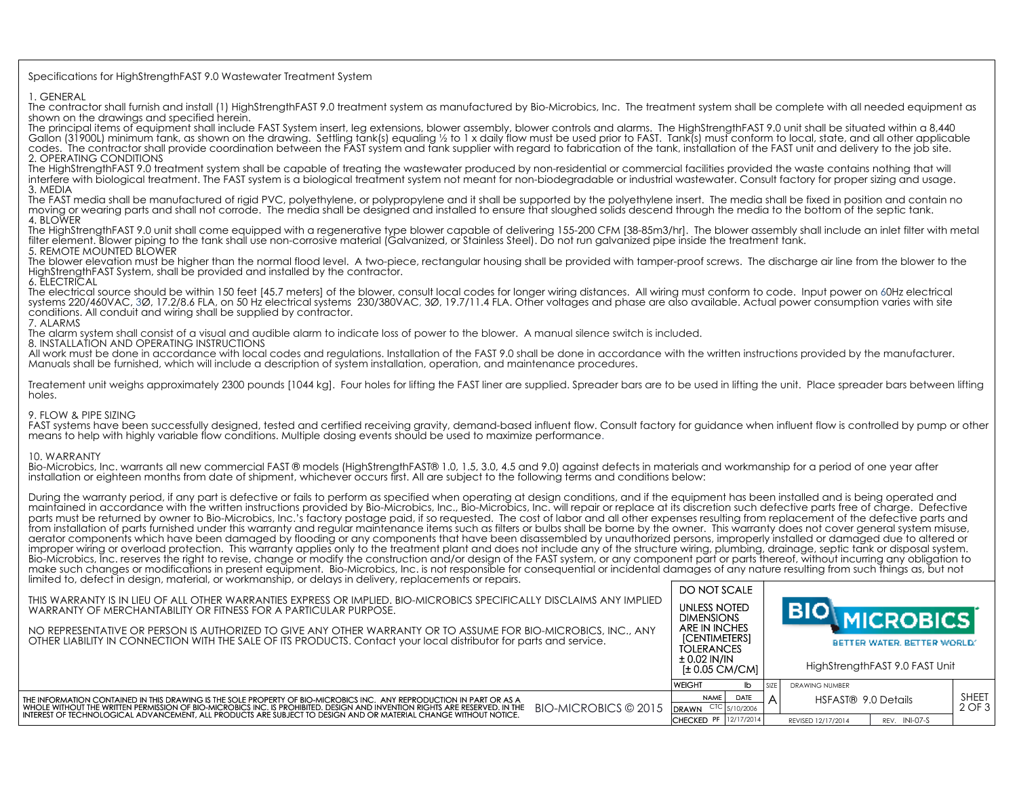## Specifications for HighStrengthFAST 9.0 Wastewater Treatment System

1. GENERAL

The contractor shall furnish and install (1) HighStrengthFAST 9.0 treatment system as manufactured by Bio-Microbics, Inc. The treatment system shall be complete with all needed equipment as shown on the drawings and specified herein.

The principal items of equipment shall include FAST System insert, leg extensions, blower assembly, blower controls and alarms. The HighStrengthFAST 9.0 unit shall be situated within a 8,440 Gallon (31900L) minimum tank, as shown on the drawing. Settling tank(s) equaling ½ to 1 x daily flow must be used prior to FAST. Tank(s) must conform to local, state, and all other applicable codes. The contractor shall provide coordination between the FAST system and tank supplier with regard to fabrication of the tank, installation of the FAST unit and delivery to the job site. 2. OPERATING CONDITIONS

The HighStrengthFAST 9.0 treatment system shall be capable of treating the wastewater produced by non-residential or commercial facilities provided the waste contains nothing that will interfere with biological treatment. The FAST system is a biological treatment system not meant for non-biodegradable or industrial wastewater. Consult factory for proper sizing and usage. 3. MEDIA

The FAST media shall be manufactured of rigid PVC, polyethylene, or polypropylene and it shall be supported by the polyethylene insert. The media shall be fixed in position and contain no moving or wearing parts and shall not corrode. The media shall be designed and installed to ensure that sloughed solids descend through the media to the bottom of the septic tank. 4. BLOWER

The HighStrengthFAST 9.0 unit shall come equipped with a regenerative type blower capable of delivering 155-200 CFM [38-85m3/hr]. The blower assembly shall include an inlet filter with metal filter element. Blower piping to the tank shall use non-corrosive material (Galvanized, or Stainless Steel). Do not run galvanized pipe inside the treatment tank. 5. REMOTE MOUNTED BLOWER

The blower elevation must be higher than the normal flood level. A two-piece, rectangular housing shall be provided with tamper-proof screws. The discharge air line from the blower to the HighStrengthFAST System, shall be provided and installed by the contractor.

6. ELECTRICAL

The electrical source should be within 150 feet [45.7 meters] of the blower, consult local codes for longer wiring distances. All wiring must conform to code. Input power on 60Hz electrical systems 220/460VAC, 3Ø, 17.2/8.6 FLA, on 50 Hz electrical systems 230/380VAC, 3Ø, 19.7/11.4 FLA. Other voltages and phase are also available. Actual power consumption varies with site conditions. All conduit and wiring shall be supplied by contractor.

7. ALARMS

The alarm system shall consist of a visual and audible alarm to indicate loss of power to the blower. A manual silence switch is included.

8. INSTALLATION AND OPERATING INSTRUCTIONS

All work must be done in accordance with local codes and regulations. Installation of the FAST 9.0 shall be done in accordance with the written instructions provided by the manufacturer. Manuals shall be furnished, which will include a description of system installation, operation, and maintenance procedures.

Treatement unit weighs approximately 2300 pounds [1044 kg]. Four holes for lifting the FAST liner are supplied. Spreader bars are to be used in lifting the unit. Place spreader bars between lifting holes.

## 9. FLOW & PIPE SIZING

FAST systems have been successfully designed, tested and certified receiving gravity, demand-based influent flow. Consult factory for guidance when influent flow is controlled by pump or other means to help with highly variable flow conditions. Multiple dosing events should be used to maximize performance.

## 10. WARRANTY

Bio-Microbics, Inc. warrants all new commercial FAST ® models (HighStrengthFAST® 1.0, 1.5, 3.0, 4.5 and 9.0) against defects in materials and workmanship for a period of one year after installation or eighteen months from date of shipment, whichever occurs first. All are subject to the following terms and conditions below:

During the warranty period, if any part is defective or fails to perform as specified when operating at design conditions, and if the equipment has been installed and is being operated and maintained in accordance with the written instructions provided by Bio-Microbics, Inc., Bio-Microbics, Inc. will repair or replace at its discretion such defective parts free of charge. Defective parts must be returned by owner to Bio-Microbics, Inc.'s factory postage paid, if so requested. The cost of labor and all other expenses resulting from replacement of the defective parts and from installation of parts furnished under this warranty and regular maintenance items such as filters or bulbs shall be borne by the owner. This warranty does not cover general system misuse, aerator components which have been damaged by flooding or any components that have been disassembled by unauthorized persons, improperly installed or damaged due to altered or improper wiring or overload protection. This warranty applies only to the treatment plant and does not include any of the structure wiring, plumbing, drainage, septic tank or disposal system. Bio-Microbics, Inc. reserves the right to revise, change or modify the construction and/or design of the FAST system, or any component part or parts thereof, without incurring any obligation to make such changes or modifications in present equipment. Bio-Microbics, Inc. is not responsible for consequential or incidental damages of any nature resulting from such things as, but not limited to, defect in design, material, or workmanship, or delays in delivery, replacements or repairs.

| illi liicu 10, ucteef in ucsign, mulchur, or workinumsi ilp, or ucluys in uclivery, replucements or repulis.                                                                                                                                                                                                                                                                                    | DO NOT SCALE                                               |             |                                |                                                 |                  |              |  |
|-------------------------------------------------------------------------------------------------------------------------------------------------------------------------------------------------------------------------------------------------------------------------------------------------------------------------------------------------------------------------------------------------|------------------------------------------------------------|-------------|--------------------------------|-------------------------------------------------|------------------|--------------|--|
| THIS WARRANTY IS IN LIEU OF ALL OTHER WARRANTIES EXPRESS OR IMPLIED. BIO-MICROBICS SPECIFICALLY DISCLAIMS ANY IMPLIED<br>WARRANTY OF MERCHANTABILITY OR FITNESS FOR A PARTICULAR PURPOSE.                                                                                                                                                                                                       | UNLESS NOTED<br><b>DIMENSIONS</b>                          |             |                                |                                                 |                  |              |  |
| NO REPRESENTATIVE OR PERSON IS AUTHORIZED TO GIVE ANY OTHER WARRANTY OR TO ASSUME FOR BIO-MICROBICS. INC., ANY<br>OTHER LIABILITY IN CONNECTION WITH THE SALE OF ITS PRODUCTS. Contact your local distributor for parts and service.                                                                                                                                                            | ARE IN INCHES<br><b>[CENTIMETERS]</b><br><b>TOLERANCES</b> |             |                                | <b>MICROBICS</b><br>BETTER WATER, BETTER WORLD. |                  |              |  |
|                                                                                                                                                                                                                                                                                                                                                                                                 | ± 0.02 IN/IN<br>[± 0.05 CM/CM]                             |             | HighStrengthFAST 9.0 FAST Unit |                                                 |                  |              |  |
|                                                                                                                                                                                                                                                                                                                                                                                                 | <b>WEIGHT</b>                                              |             | SI <sub>7</sub> F              | <b>DRAWING NUMBER</b>                           |                  |              |  |
| THE INFORMATION CONTAINED IN THIS DRAWING IS THE SOLE PROPERTY OF BIO-MICROBICS INC. ANY REPRODUCTION IN PART OR AS A<br>BIO-MICROBICS © 2015<br>WHOLE WITHOUT THE WRITTEN PERMISSION OF BIO-MICROBICS INC. IS PROHIBITED. DESIGN AND INVENTION RIGHTS ARE RESERVED. IN THE<br>INTEREST OF TECHNOLOGICAL ADVANCEMENT. ALL PRODUCTS ARE SUBJECT TO DESIGN AND OR MATERIAL CHANGE WITHOUT NOTICE. | <b>NAME</b>                                                | DATE        |                                | HSFAST® 9.0 Details                             |                  | <b>SHEET</b> |  |
|                                                                                                                                                                                                                                                                                                                                                                                                 | <b>DRAWN</b>                                               | - 5/10/2006 |                                |                                                 |                  | 2 OF 3       |  |
|                                                                                                                                                                                                                                                                                                                                                                                                 | CHECKED PF 12/17/20141                                     |             |                                | REVISED 12/17/2014                              | $RFV$ . INI-07-S |              |  |